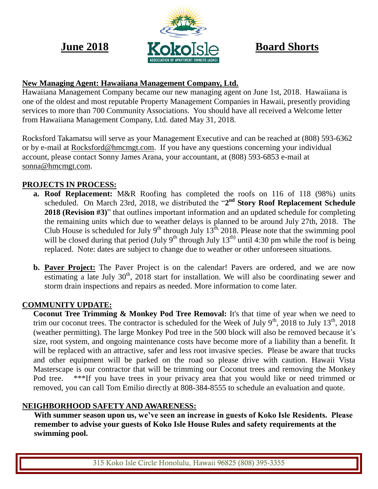

# **New Managing Agent: Hawaiiana Management Company, Ltd.**

Hawaiiana Management Company became our new managing agent on June 1st, 2018. Hawaiiana is one of the oldest and most reputable Property Management Companies in Hawaii, presently providing services to more than 700 Community Associations. You should have all received a Welcome letter from Hawaiiana Management Company, Ltd. dated May 31, 2018.

Rocksford Takamatsu will serve as your Management Executive and can be reached at (808) 593-6362 or by e-mail at [Rocksford@hmcmgt.com.](mailto:Rocksford@hmcmgt.com) If you have any questions concerning your individual account, please contact Sonny James Arana, your accountant, at (808) 593-6853 e-mail at [sonna@hmcmgt.com.](mailto:sonna@hmcmgt.com)

# **PROJECTS IN PROCESS:**

- **a. Roof Replacement:** M&R Roofing has completed the roofs on 116 of 118 (98%) units scheduled. On March 23rd, 2018, we distributed the "2<sup>nd</sup> Story Roof Replacement Schedule **2018 (Revision #3)**" that outlines important information and an updated schedule for completing the remaining units which due to weather delays is planned to be around July 27th, 2018. The Club House is scheduled for July  $9^{th}$  through July  $13^{th}$ , 2018. Please note that the swimming pool will be closed during that period (July  $9<sup>th</sup>$  through July 13<sup>th)</sup> until 4:30 pm while the roof is being replaced. Note: dates are subject to change due to weather or other unforeseen situations.
- **b. Paver Project:** The Paver Project is on the calendar! Pavers are ordered, and we are now estimating a late July  $30<sup>th</sup>$ ,  $2018$  start for installation. We will also be coordinating sewer and storm drain inspections and repairs as needed. More information to come later.

## **COMMUNITY UPDATE:**

**Coconut Tree Trimming & Monkey Pod Tree Removal:** It's that time of year when we need to trim our coconut trees. The contractor is scheduled for the Week of July  $9<sup>th</sup>$ , 2018 to July  $13<sup>th</sup>$ , 2018 (weather permitting). The large Monkey Pod tree in the 500 block will also be removed because it's size, root system, and ongoing maintenance costs have become more of a liability than a benefit. It will be replaced with an attractive, safer and less root invasive species. Please be aware that trucks and other equipment will be parked on the road so please drive with caution. Hawaii Vista Masterscape is our contractor that will be trimming our Coconut trees and removing the Monkey Pod tree. \*\*\*If you have trees in your privacy area that you would like or need trimmed or removed, you can call Tom Emilio directly at 808-384-8555 to schedule an evaluation and quote.

## **NEIGHBORHOOD SAFETY AND AWARENESS:**

**With summer season upon us, we've seen an increase in guests of Koko Isle Residents. Please remember to advise your guests of Koko Isle House Rules and safety requirements at the swimming pool.**